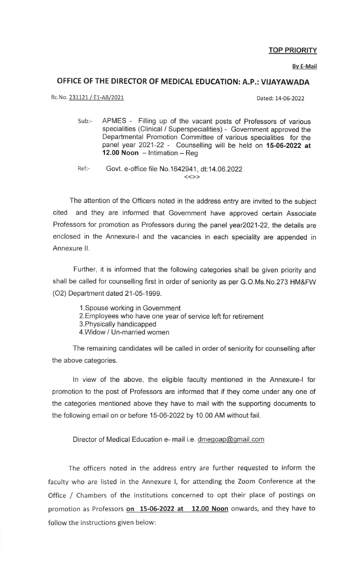## TOP PRIORITY

Bv E-Mail

## OFFICE OF THE DIRECTOR OF MEDICAI EDUCATTON: A.P.: VIJAyAWADA

Rc. No. 231121 / E1-AB/2021 2022

Sub:- APMES - Filling up of the vacant posts of Professors of various specialities (Clinical / Superspecialities) - Government approved the Departmental Promotion Committee of various specialities for the panel year 2021-22 - Counselling will be held on 15-06-2022 at 12.00 Noon  $-$  Intimation  $-$  Reg

Ref:-

Govt. e-office file No. 1642941, dt: 14.06.2022

The attention of the Officers noted in the address entry are invited to the subject cited and they are informed that Government have approved certain Associate Professors for promotion as Professors during the panel year2021-22, the details are enclosed in the Annexure-l and the vacancies in each speciality are appended in Annexure ll.

Further, it is informed that the following categories shall be given priority and shall be called for counselling first in order of seniority as per G.O.Ms.No.273 HM&FW (O2) Department dated 21-05-1999.

- l.Spouse working in Government
- 2.Employees who have one year of service left for retirement
- 3.Physically handicapped
- 4.Widow / Un-married women

The remaining candidates will be called in order of seniority for counselling after the above categories.

ln view of the above, the eligible faculty mentioned in the Annexure-l for promotion to the post of Professors are informed that if they come under any one of the categories mentioned above they have to mail with the supporting documents to the following email on or before 15-06-2022 by 10.00 AM without fail.

Director of Medical Education e- mail i.e. dmegoap@gmail.com

The officers noted in the address entry are further requested to inform the faculty who are listed in the Annexure l, for attending the Zoom Conference at the Office / Chambers of the institutions concerned to opt their place of postings on promotion as Professors on 15-06-2022 at 12.00 Noon onwards, and they have to follow the instructions given below: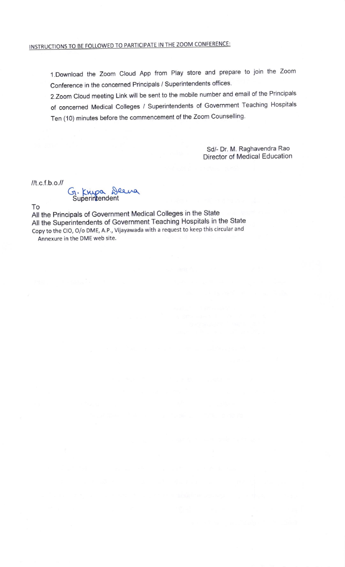l.Download the Zoom Cloud App from Play store and prepare to join the Zoom Conference in the concerned Principals / Superintendents offices.

2.Zoom cloud meeting Link will be sent to the mobile number and email of the Principals of concerned Medical Colleges / Superintendents of Government Teaching Hospitals Ten (10) minutes before the commencement of the Zoom Counselling

> Sd/- Dr. M. Raghavendra Rao Director of Medical Education

 $llt$ .c.f.b.o. $ll$ 

G. Knya Deena Superin**t**endent

To

All the Principals of Government Medical Colleges in the State All the Superintendents of Government Teaching Hospitals in the State Copy to the ClO, O/o DME, A.P., Vijayawada with a request to keep this circular and Annexure in the DME web site.